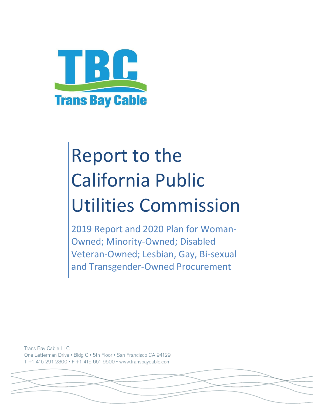

# Report to the California Public Utilities Commission

2019 Report and 2020 Plan for Woman-Owned; Minority-Owned; Disabled Veteran-Owned; Lesbian, Gay, Bi-sexual and Transgender-Owned Procurement

Trans Bay Cable LLC One Letterman Drive . Bldg C . 5th Floor . San Francisco CA 94129 T+1 415 291 2300 • F+1 415 651 9500 • www.transbaycable.com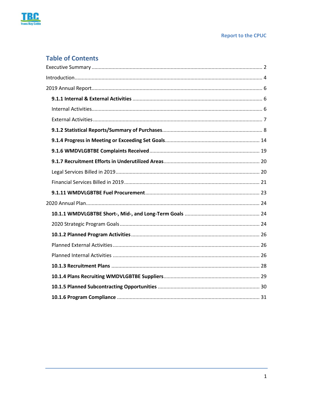

#### **Report to the CPUC**

# **Table of Contents**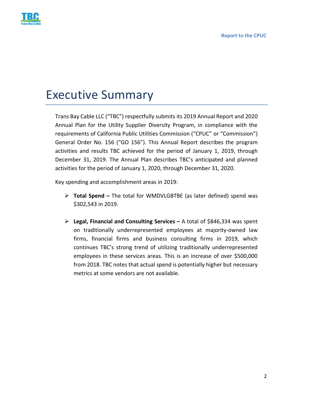

# <span id="page-2-0"></span>Executive Summary

Trans Bay Cable LLC ("TBC") respectfully submits its 2019 Annual Report and 2020 Annual Plan for the Utility Supplier Diversity Program, in compliance with the requirements of California Public Utilities Commission ("CPUC" or "Commission") General Order No. 156 ("GO 156"). This Annual Report describes the program activities and results TBC achieved for the period of January 1, 2019, through December 31, 2019. The Annual Plan describes TBC's anticipated and planned activities for the period of January 1, 2020, through December 31, 2020.

Key spending and accomplishment areas in 2019:

- **Total Spend –** The total for WMDVLGBTBE (as later defined) spend was \$302,543 in 2019.
- **Legal, Financial and Consulting Services –** A total of \$846,334 was spent on traditionally underrepresented employees at majority-owned law firms, financial firms and business consulting firms in 2019, which continues TBC's strong trend of utilizing traditionally underrepresented employees in these services areas. This is an increase of over \$500,000 from 2018. TBC notes that actual spend is potentially higher but necessary metrics at some vendors are not available.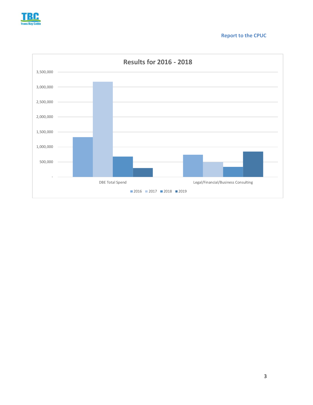

#### **Report to the CPUC**

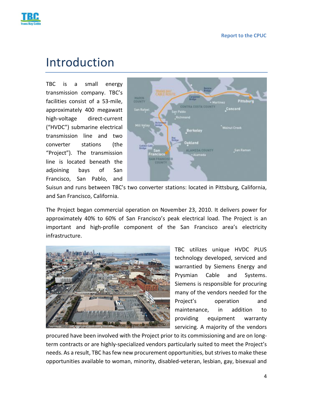

# <span id="page-4-0"></span>Introduction

TBC is a small energy transmission company. TBC's facilities consist of a 53-mile, approximately 400 megawatt high-voltage direct-current ("HVDC") submarine electrical transmission line and two converter stations (the "Project"). The transmission line is located beneath the adjoining bays of San Francisco, San Pablo, and



Suisun and runs between TBC's two converter stations: located in Pittsburg, California, and San Francisco, California.

The Project began commercial operation on November 23, 2010. It delivers power for approximately 40% to 60% of San Francisco's peak electrical load. The Project is an important and high-profile component of the San Francisco area's electricity infrastructure.



TBC utilizes unique HVDC PLUS technology developed, serviced and warrantied by Siemens Energy and Prysmian Cable and Systems. Siemens is responsible for procuring many of the vendors needed for the Project's operation and maintenance, in addition to providing equipment warranty servicing. A majority of the vendors

procured have been involved with the Project prior to its commissioning and are on longterm contracts or are highly-specialized vendors particularly suited to meet the Project's needs. As a result, TBC has few new procurement opportunities, but strives to make these opportunities available to woman, minority, disabled-veteran, lesbian, gay, bisexual and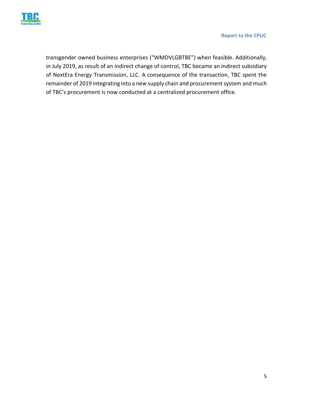

transgender owned business enterprises ("WMDVLGBTBE") when feasible. Additionally, in July 2019, as result of an indirect change of control, TBC became an indirect subsidiary of NextEra Energy Transmission, LLC. A consequence of the transaction, TBC spent the remainder of 2019 integrating into a new supply chain and procurement system and much of TBC's procurement is now conducted at a centralized procurement office.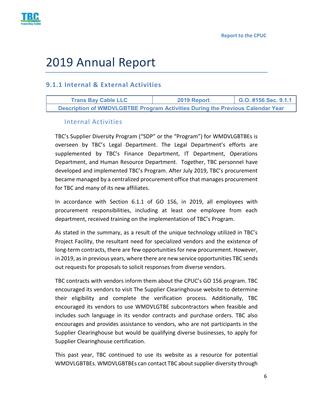

# <span id="page-6-0"></span>2019 Annual Report

# <span id="page-6-1"></span>**9.1.1 Internal & External Activities**

<span id="page-6-2"></span>**Trans Bay Cable LLC 2019 Report G.O. #156 Sec. 9.1.1 Description of WMDVLGBTBE Program Activities During the Previous Calendar Year**

#### Internal Activities

TBC's Supplier Diversity Program ("SDP" or the "Program") for WMDVLGBTBEs is overseen by TBC's Legal Department. The Legal Department's efforts are supplemented by TBC's Finance Department, IT Department, Operations Department, and Human Resource Department. Together, TBC personnel have developed and implemented TBC's Program. After July 2019, TBC's procurement became managed by a centralized procurement office that manages procurement for TBC and many of its new affiliates.

In accordance with Section 6.1.1 of GO 156, in 2019, all employees with procurement responsibilities, including at least one employee from each department, received training on the implementation of TBC's Program.

As stated in the summary, as a result of the unique technology utilized in TBC's Project Facility, the resultant need for specialized vendors and the existence of long-term contracts, there are few opportunities for new procurement. However, in 2019, as in previous years, where there are new service opportunities TBC sends out requests for proposals to solicit responses from diverse vendors.

TBC contracts with vendors inform them about the CPUC's GO 156 program. TBC encouraged its vendors to visit The Supplier Clearinghouse website to determine their eligibility and complete the verification process. Additionally, TBC encouraged its vendors to use WMDVLGTBE subcontractors when feasible and includes such language in its vendor contracts and purchase orders. TBC also encourages and provides assistance to vendors, who are not participants in the Supplier Clearinghouse but would be qualifying diverse businesses, to apply for Supplier Clearinghouse certification.

This past year, TBC continued to use its website as a resource for potential WMDVLGBTBEs. WMDVLGBTBEs can contact TBC about supplier diversity through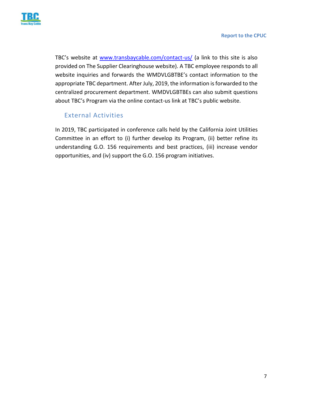

TBC's website at [www.transbaycable.com/contact-us/](http://www.transbaycable.com/contact-us/) (a link to this site is also provided on The Supplier Clearinghouse website). A TBC employee responds to all website inquiries and forwards the WMDVLGBTBE's contact information to the appropriate TBC department. After July, 2019, the information is forwarded to the centralized procurement department. WMDVLGBTBEs can also submit questions about TBC's Program via the online contact-us link at TBC's public website.

## External Activities

<span id="page-7-0"></span>In 2019, TBC participated in conference calls held by the California Joint Utilities Committee in an effort to (i) further develop its Program, (ii) better refine its understanding G.O. 156 requirements and best practices, (iii) increase vendor opportunities, and (iv) support the G.O. 156 program initiatives.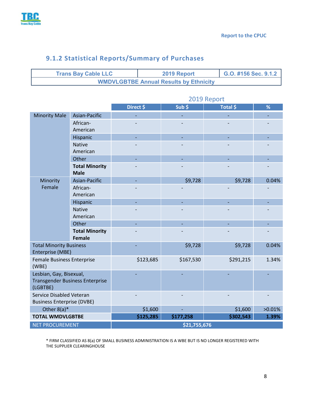

|                                                               |                                        | 2019 Report  |           |           |        |  |  |  |  |
|---------------------------------------------------------------|----------------------------------------|--------------|-----------|-----------|--------|--|--|--|--|
|                                                               |                                        | Direct \$    | Sub \$    | Total \$  | %      |  |  |  |  |
| <b>Minority Male</b>                                          | Asian-Pacific                          | L.           |           | L.        |        |  |  |  |  |
|                                                               | African-<br>American                   |              |           |           |        |  |  |  |  |
|                                                               | Hispanic                               | ÷,           |           |           |        |  |  |  |  |
|                                                               | <b>Native</b><br>American              |              |           |           |        |  |  |  |  |
|                                                               | Other                                  |              |           |           |        |  |  |  |  |
|                                                               | <b>Total Minority</b><br><b>Male</b>   |              |           |           |        |  |  |  |  |
| Minority                                                      | Asian-Pacific                          |              | \$9,728   | \$9,728   | 0.04%  |  |  |  |  |
| Female                                                        | African-<br>American                   |              |           |           |        |  |  |  |  |
|                                                               | Hispanic                               | ÷            |           |           |        |  |  |  |  |
|                                                               | <b>Native</b><br>American              |              |           |           |        |  |  |  |  |
|                                                               | Other                                  |              |           |           |        |  |  |  |  |
|                                                               | <b>Total Minority</b>                  |              |           |           |        |  |  |  |  |
|                                                               | <b>Female</b>                          |              |           |           |        |  |  |  |  |
| <b>Total Minority Business</b><br><b>Enterprise (MBE)</b>     |                                        |              | \$9,728   | \$9,728   | 0.04%  |  |  |  |  |
| <b>Female Business Enterprise</b><br>(WBE)                    |                                        | \$123,685    | \$167,530 | \$291,215 | 1.34%  |  |  |  |  |
| Lesbian, Gay, Bisexual,<br>(LGBTBE)                           | <b>Transgender Business Enterprise</b> |              |           |           |        |  |  |  |  |
| Service Disabled Veteran<br><b>Business Enterprise (DVBE)</b> |                                        |              |           |           |        |  |  |  |  |
| Other $8(a)^*$                                                |                                        | \$1,600      |           | \$1,600   | >0.01% |  |  |  |  |
| <b>TOTAL WMDVLGBTBE</b>                                       |                                        | \$125,285    | \$177,258 | \$302,543 | 1.39%  |  |  |  |  |
| <b>NET PROCUREMENT</b>                                        |                                        | \$21,755,676 |           |           |        |  |  |  |  |

**Trans Bay Cable LLC 2019 Report G.O. #156 Sec. 9.1.2**

**WMDVLGBTBE Annual Results by Ethnicity**

# <span id="page-8-0"></span>**9.1.2 Statistical Reports/Summary of Purchases**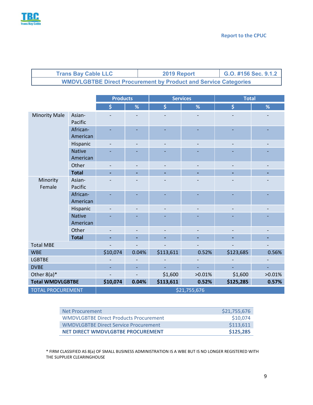

| <b>Trans Bay Cable LLC</b>                                             | 2019 Report | G.O. #156 Sec. 9.1.2 |  |  |  |  |
|------------------------------------------------------------------------|-------------|----------------------|--|--|--|--|
| <b>WMDVLGBTBE Direct Procurement by Product and Service Categories</b> |             |                      |  |  |  |  |

|                          |                           | <b>Products</b> |                |                    | <b>Services</b>          | <b>Total</b> |        |  |  |
|--------------------------|---------------------------|-----------------|----------------|--------------------|--------------------------|--------------|--------|--|--|
|                          |                           | \$              | %              | $\dot{\mathsf{S}}$ | %                        | \$           | %      |  |  |
| <b>Minority Male</b>     | Asian-<br>Pacific         |                 |                |                    |                          |              |        |  |  |
|                          | African-<br>American      |                 |                |                    |                          |              |        |  |  |
|                          | Hispanic                  |                 | $\overline{a}$ |                    | $\overline{\phantom{a}}$ |              |        |  |  |
|                          | <b>Native</b><br>American |                 |                |                    |                          |              |        |  |  |
|                          | Other                     |                 | $\overline{a}$ |                    | $\overline{\phantom{a}}$ |              |        |  |  |
|                          | <b>Total</b>              |                 |                |                    |                          |              |        |  |  |
| Minority<br>Female       | Asian-<br>Pacific         |                 |                |                    |                          |              |        |  |  |
|                          | African-<br>American      |                 |                |                    |                          |              |        |  |  |
|                          | Hispanic                  |                 |                |                    | $\overline{\phantom{a}}$ |              |        |  |  |
|                          | <b>Native</b><br>American |                 |                |                    |                          |              |        |  |  |
|                          | Other                     |                 |                |                    |                          |              |        |  |  |
|                          | <b>Total</b>              |                 |                |                    |                          |              |        |  |  |
| <b>Total MBE</b>         |                           |                 |                |                    |                          |              |        |  |  |
| <b>WBE</b>               |                           | \$10,074        | 0.04%          | \$113,611          | 0.52%                    | \$123,685    | 0.56%  |  |  |
| <b>LGBTBE</b>            |                           |                 |                |                    |                          |              |        |  |  |
| <b>DVBE</b>              |                           |                 |                |                    |                          |              |        |  |  |
| Other $8(a)^*$           |                           |                 |                | \$1,600            | >0.01%                   | \$1,600      | >0.01% |  |  |
| <b>Total WMDVLGBTBE</b>  |                           | \$10,074        | 0.04%          | \$113,611          | 0.52%                    | \$125,285    | 0.57%  |  |  |
| <b>TOTAL PROCUREMENT</b> |                           | \$21,755,676    |                |                    |                          |              |        |  |  |

| Net Procurement                               | \$21,755,676 |
|-----------------------------------------------|--------------|
| <b>WMDVLGBTBE Direct Products Procurement</b> | \$10,074     |
| WMDVLGBTBE Direct Service Procurement         | \$113,611    |
| NET DIRECT WMDVLGBTBE PROCUREMENT             | \$125,285    |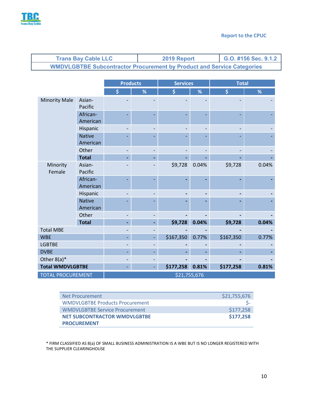

| <b>Trans Bay Cable LLC</b>                                                    | 2019 Report | G.O. #156 Sec. 9.1.2 |
|-------------------------------------------------------------------------------|-------------|----------------------|
| <b>WMDVLGBTBE Subcontractor Procurement by Product and Service Categories</b> |             |                      |

|                          |                           | <b>Products</b> |   | <b>Services</b> |       | <b>Total</b> |       |  |  |
|--------------------------|---------------------------|-----------------|---|-----------------|-------|--------------|-------|--|--|
|                          |                           | \$              | % | \$              | %     | \$           | %     |  |  |
| <b>Minority Male</b>     | Asian-<br>Pacific         |                 |   |                 |       |              |       |  |  |
|                          | African-<br>American      |                 |   |                 |       |              |       |  |  |
|                          | Hispanic                  |                 |   |                 |       |              |       |  |  |
|                          | <b>Native</b><br>American |                 |   |                 |       |              |       |  |  |
|                          | Other                     | -               |   |                 |       |              |       |  |  |
|                          | <b>Total</b>              |                 |   |                 |       |              |       |  |  |
| Minority<br>Female       | Asian-<br>Pacific         |                 |   | \$9,728         | 0.04% | \$9,728      | 0.04% |  |  |
|                          | African-<br>American      |                 |   |                 |       |              |       |  |  |
|                          | Hispanic                  |                 |   |                 |       |              |       |  |  |
|                          | <b>Native</b><br>American |                 |   |                 |       |              |       |  |  |
|                          | Other                     |                 |   |                 |       |              |       |  |  |
|                          | <b>Total</b>              |                 |   | \$9,728         | 0.04% | \$9,728      | 0.04% |  |  |
| <b>Total MBE</b>         |                           |                 |   |                 |       |              |       |  |  |
| <b>WBE</b>               |                           |                 |   | \$167,350       | 0.77% | \$167,350    | 0.77% |  |  |
| <b>LGBTBE</b>            |                           |                 |   |                 |       |              |       |  |  |
| <b>DVBE</b>              |                           |                 |   |                 |       |              |       |  |  |
| Other $8(a)^*$           |                           |                 |   |                 |       |              |       |  |  |
| <b>Total WMDVLGBTBE</b>  |                           |                 |   | \$177,258       | 0.81% | \$177,258    | 0.81% |  |  |
| <b>TOTAL PROCUREMENT</b> |                           | \$21,755,676    |   |                 |       |              |       |  |  |

| Net Procurement                        | \$21,755,676 |
|----------------------------------------|--------------|
| <b>WMDVLGBTBE Products Procurement</b> |              |
| <b>WMDVLGBTBE Service Procurement</b>  | \$177,258    |
| <b>NET SUBCONTRACTOR WMDVLGBTBE</b>    | \$177,258    |
| <b>PROCUREMENT</b>                     |              |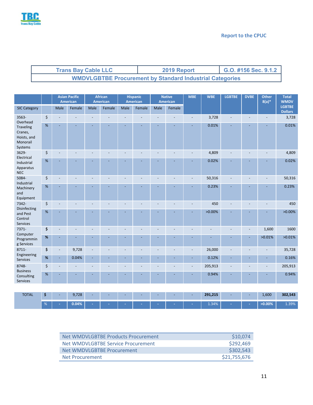

| <b>Trans Bay Cable LLC</b>                                      | 2019 Report | G.O. #156 Sec. 9.1.2 |  |  |  |  |
|-----------------------------------------------------------------|-------------|----------------------|--|--|--|--|
| <b>WMDVLGBTBE Procurement by Standard Industrial Categories</b> |             |                      |  |  |  |  |

|                                                            |      |                | <b>Asian Pacific</b><br><b>American</b> |                          | <b>African</b><br><b>American</b> |      | <b>Hispanic</b><br><b>American</b> |      |        |                          |           |   | <b>American</b> |        |                                 |  | <b>Native</b> |  | <b>WBE</b> | <b>LGBTBE</b> | <b>DVBE</b> | Other<br>$8(a)*$ | Total<br><b>WMDV</b> |
|------------------------------------------------------------|------|----------------|-----------------------------------------|--------------------------|-----------------------------------|------|------------------------------------|------|--------|--------------------------|-----------|---|-----------------|--------|---------------------------------|--|---------------|--|------------|---------------|-------------|------------------|----------------------|
| <b>SIC Category</b>                                        |      | Male           | Female                                  | Male                     | Female                            | Male | Female                             | Male | Female |                          |           |   |                 |        | <b>LGBTBE</b><br><b>Dollars</b> |  |               |  |            |               |             |                  |                      |
| 3563-<br>Overhead                                          | \$   |                |                                         |                          |                                   |      |                                    |      |        |                          | 3,728     |   |                 | ä,     | 3,728                           |  |               |  |            |               |             |                  |                      |
| Traveling<br>Cranes,<br>Hoists, and<br>Monorail<br>Systems | $\%$ |                |                                         |                          |                                   |      |                                    |      |        |                          | 0.01%     |   |                 |        | 0.01%                           |  |               |  |            |               |             |                  |                      |
| 3629-<br>Electrical                                        | \$   |                |                                         |                          |                                   |      |                                    |      |        |                          | 4,809     |   |                 |        | 4,809                           |  |               |  |            |               |             |                  |                      |
| Industrial<br>Apparatus<br><b>NEC</b>                      | $\%$ |                |                                         |                          |                                   |      |                                    |      |        |                          | 0.02%     |   |                 |        | 0.02%                           |  |               |  |            |               |             |                  |                      |
| 5084-                                                      | \$   |                |                                         |                          |                                   |      |                                    |      |        |                          | 50,316    |   |                 |        | 50,316                          |  |               |  |            |               |             |                  |                      |
| Industrial<br>Machinery<br>and<br>Equipment                | $\%$ |                |                                         |                          |                                   |      |                                    |      |        |                          | 0.23%     |   |                 |        | 0.23%                           |  |               |  |            |               |             |                  |                      |
| 7342-                                                      | \$   |                |                                         | $\overline{a}$           |                                   |      |                                    |      |        |                          | 450       |   |                 |        | 450                             |  |               |  |            |               |             |                  |                      |
| Disinfecting<br>and Pest<br>Control<br>Services            | $\%$ |                |                                         |                          |                                   |      |                                    |      |        |                          | $>0.00\%$ |   |                 |        | $>0.00\%$                       |  |               |  |            |               |             |                  |                      |
| 7371-                                                      | \$   |                | ٠                                       | $\overline{\phantom{a}}$ |                                   |      |                                    |      |        |                          |           |   | $\blacksquare$  | 1,600  | 1600                            |  |               |  |            |               |             |                  |                      |
| Computer<br>Programmin<br>g Services                       | $\%$ | $\overline{a}$ |                                         |                          |                                   |      |                                    |      | ۳      |                          |           |   | ÷,              | >0.01% | >0.01%                          |  |               |  |            |               |             |                  |                      |
| 8711-                                                      | \$   |                | 9,728                                   |                          |                                   |      |                                    |      |        |                          | 26,000    |   |                 |        | 35,728                          |  |               |  |            |               |             |                  |                      |
| Engineering<br>Services                                    | $\%$ | ÷              | 0.04%                                   | ÷                        |                                   |      |                                    |      | L.     |                          | 0.12%     | ÷ |                 | ÷      | 0.16%                           |  |               |  |            |               |             |                  |                      |
| 8748-                                                      | \$   |                |                                         | $\overline{\phantom{a}}$ |                                   |      |                                    |      | ä,     | $\overline{\phantom{a}}$ | 205,913   |   |                 | ä,     | 205,913                         |  |               |  |            |               |             |                  |                      |
| <b>Business</b><br>Consulting<br>Services                  | $\%$ |                |                                         |                          |                                   |      |                                    |      |        |                          | 0.94%     |   |                 |        | 0.94%                           |  |               |  |            |               |             |                  |                      |
|                                                            |      |                |                                         |                          |                                   |      |                                    |      |        |                          |           |   |                 |        |                                 |  |               |  |            |               |             |                  |                      |
| <b>TOTAL</b>                                               | \$   |                | 9,728                                   |                          |                                   |      |                                    |      |        |                          | 291,215   |   |                 | 1,600  | 302,543                         |  |               |  |            |               |             |                  |                      |

| Net WMDVLGBTBE Products Procurement | \$10,074     |
|-------------------------------------|--------------|
| Net WMDVLGBTBE Service Procurement  | \$292,469    |
| Net WMDVLGBTBF Procurement          | \$302,543    |
| Net Procurement                     | \$21,755,676 |

% **- 0.04% - - - - - - -** 1.34% **- - >0.00%** 1.39%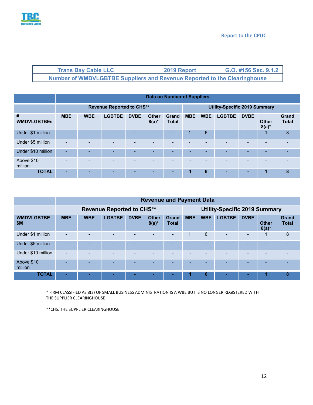

| <b>Trans Bay Cable LLC</b>                                                      | 2019 Report | G.O. #156 Sec. 9.1.2 |
|---------------------------------------------------------------------------------|-------------|----------------------|
| <b>Number of WMDVLGBTBE Suppliers and Revenue Reported to the Clearinghouse</b> |             |                      |

|                         | Data on Number of Suppliers      |            |               |             |                          |                       |                                      |            |               |             |                          |                              |
|-------------------------|----------------------------------|------------|---------------|-------------|--------------------------|-----------------------|--------------------------------------|------------|---------------|-------------|--------------------------|------------------------------|
|                         | <b>Revenue Reported to CHS**</b> |            |               |             |                          |                       | <b>Utility-Specific 2019 Summary</b> |            |               |             |                          |                              |
| #<br><b>WMDVLGBTBEs</b> | <b>MBE</b>                       | <b>WBE</b> | <b>LGBTBE</b> | <b>DVBE</b> | <b>Other</b><br>$8(a)^*$ | Grand<br><b>Total</b> | <b>MBE</b>                           | <b>WBE</b> | <b>LGBTBE</b> | <b>DVBE</b> | <b>Other</b><br>$8(a)^*$ | <b>Grand</b><br><b>Total</b> |
| Under \$1 million       |                                  |            | ۰             | -           |                          |                       | 4                                    | 6          |               | -           |                          | 8                            |
| Under \$5 million       | -                                |            | -             | -           | $\overline{\phantom{0}}$ |                       |                                      | -          |               | -           |                          |                              |
| Under \$10 million      | -                                |            | -             | -           | <b>.</b>                 |                       | -                                    | -          |               | -           | н.                       |                              |
| Above \$10<br>million   |                                  |            |               |             |                          |                       |                                      |            |               | -           |                          |                              |
| <b>TOTAL</b>            |                                  |            | -             | -           |                          | -                     | 1                                    | 6          |               |             | 1                        | 8                            |

|                          | <b>Revenue and Payment Data</b>  |            |               |             |                          |                       |                                      |            |               |                          |                          |                              |
|--------------------------|----------------------------------|------------|---------------|-------------|--------------------------|-----------------------|--------------------------------------|------------|---------------|--------------------------|--------------------------|------------------------------|
|                          | <b>Revenue Reported to CHS**</b> |            |               |             |                          |                       | <b>Utility-Specific 2019 Summary</b> |            |               |                          |                          |                              |
| <b>WMDVLGBTBE</b><br>\$M | <b>MBE</b>                       | <b>WBE</b> | <b>LGBTBE</b> | <b>DVBE</b> | <b>Other</b><br>$8(a)^*$ | Grand<br><b>Total</b> | <b>MBE</b>                           | <b>WBE</b> | <b>LGBTBE</b> | <b>DVBE</b>              | <b>Other</b><br>$8(a)^*$ | <b>Grand</b><br><b>Total</b> |
| Under \$1 million        |                                  |            |               |             |                          |                       |                                      | 6          | -             | $\overline{\phantom{a}}$ |                          | 8                            |
| Under \$5 million        |                                  |            |               |             |                          |                       |                                      | -          |               | -                        |                          |                              |
| Under \$10 million       |                                  |            |               |             |                          |                       | -                                    |            |               | -                        |                          |                              |
| Above \$10<br>million    |                                  |            |               |             |                          |                       | -                                    |            |               | $\overline{\phantom{a}}$ | -                        |                              |
| <b>TOTAL</b>             |                                  |            |               |             |                          |                       |                                      | 6          |               |                          |                          | 8                            |

\* FIRM CLASSIFIED AS 8(a) OF SMALL BUSINESS ADMINISTRATION IS A WBE BUT IS NO LONGER REGISTERED WITH THE SUPPLIER CLEARINGHOUSE

\*\*CHS: THE SUPPLIER CLEARINGHOUSE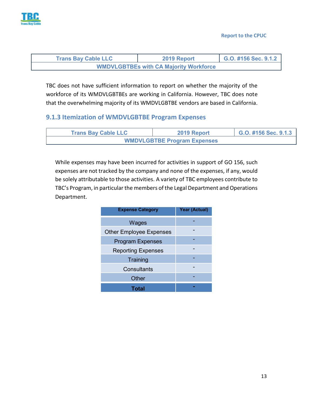

| <b>Trans Bay Cable LLC</b>                    | 2019 Report | G.O. #156 Sec. 9.1.2 |
|-----------------------------------------------|-------------|----------------------|
| <b>WMDVLGBTBEs with CA Majority Workforce</b> |             |                      |

TBC does not have sufficient information to report on whether the majority of the workforce of its WMDVLGBTBEs are working in California. However, TBC does note that the overwhelming majority of its WMDVLGBTBE vendors are based in California.

#### **9.1.3 Itemization of WMDVLGBTBE Program Expenses**

| <b>Trans Bay Cable LLC</b>         | 2019 Report | G.O. #156 Sec. 9.1.3 |  |  |  |  |  |
|------------------------------------|-------------|----------------------|--|--|--|--|--|
| <b>WMDVLGBTBE Program Expenses</b> |             |                      |  |  |  |  |  |

While expenses may have been incurred for activities in support of GO 156, such expenses are not tracked by the company and none of the expenses, if any, would be solely attributable to those activities. A variety of TBC employees contribute to TBC's Program, in particular the members of the Legal Department and Operations Department.

| <b>Expense Category</b>        | <b>Year (Actual)</b> |
|--------------------------------|----------------------|
| Wages                          |                      |
| <b>Other Employee Expenses</b> |                      |
| <b>Program Expenses</b>        |                      |
| <b>Reporting Expenses</b>      |                      |
| Training                       |                      |
| Consultants                    |                      |
| Other                          |                      |
| Total                          |                      |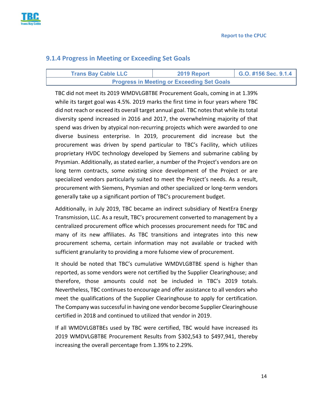

#### <span id="page-14-0"></span>**9.1.4 Progress in Meeting or Exceeding Set Goals**

| <b>Trans Bay Cable LLC</b>                        | 2019 Report | G.O. #156 Sec. 9.1.4 |  |  |
|---------------------------------------------------|-------------|----------------------|--|--|
| <b>Progress in Meeting or Exceeding Set Goals</b> |             |                      |  |  |

TBC did not meet its 2019 WMDVLGBTBE Procurement Goals, coming in at 1.39% while its target goal was 4.5%. 2019 marks the first time in four years where TBC did not reach or exceed its overall target annual goal. TBC notes that while its total diversity spend increased in 2016 and 2017, the overwhelming majority of that spend was driven by atypical non-recurring projects which were awarded to one diverse business enterprise. In 2019, procurement did increase but the procurement was driven by spend particular to TBC's Facility, which utilizes proprietary HVDC technology developed by Siemens and submarine cabling by Prysmian. Additionally, as stated earlier, a number of the Project's vendors are on long term contracts, some existing since development of the Project or are specialized vendors particularly suited to meet the Project's needs. As a result, procurement with Siemens, Prysmian and other specialized or long-term vendors generally take up a significant portion of TBC's procurement budget.

Additionally, in July 2019, TBC became an indirect subsidiary of NextEra Energy Transmission, LLC. As a result, TBC's procurement converted to management by a centralized procurement office which processes procurement needs for TBC and many of its new affiliates. As TBC transitions and integrates into this new procurement schema, certain information may not available or tracked with sufficient granularity to providing a more fulsome view of procurement.

It should be noted that TBC's cumulative WMDVLGBTBE spend is higher than reported, as some vendors were not certified by the Supplier Clearinghouse; and therefore, those amounts could not be included in TBC's 2019 totals. Nevertheless, TBC continues to encourage and offer assistance to all vendors who meet the qualifications of the Supplier Clearinghouse to apply for certification. The Company was successful in having one vendor become Supplier Clearinghouse certified in 2018 and continued to utilized that vendor in 2019.

If all WMDVLGBTBEs used by TBC were certified, TBC would have increased its 2019 WMDVLGBTBE Procurement Results from \$302,543 to \$497,941, thereby increasing the overall percentage from 1.39% to 2.29%.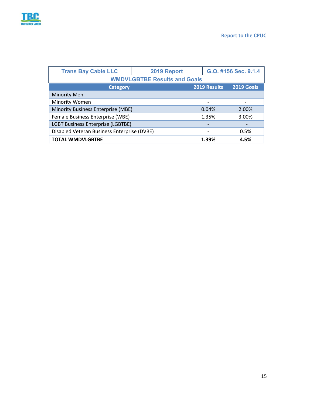

| <b>Trans Bay Cable LLC</b>                  | 2019 Report |              | G.O. #156 Sec. 9.1.4 |  |  |  |  |
|---------------------------------------------|-------------|--------------|----------------------|--|--|--|--|
| <b>WMDVLGBTBE Results and Goals</b>         |             |              |                      |  |  |  |  |
| <b>Category</b>                             |             | 2019 Results | 2019 Goals           |  |  |  |  |
| <b>Minority Men</b>                         |             |              |                      |  |  |  |  |
| <b>Minority Women</b>                       |             |              |                      |  |  |  |  |
| Minority Business Enterprise (MBE)          |             | 0.04%        | 2.00%                |  |  |  |  |
| Female Business Enterprise (WBE)            |             | 1.35%        | 3.00%                |  |  |  |  |
| <b>LGBT Business Enterprise (LGBTBE)</b>    |             |              |                      |  |  |  |  |
| Disabled Veteran Business Enterprise (DVBE) |             |              | 0.5%                 |  |  |  |  |
| <b>TOTAL WMDVLGBTBE</b>                     |             | 1.39%        | 4.5%                 |  |  |  |  |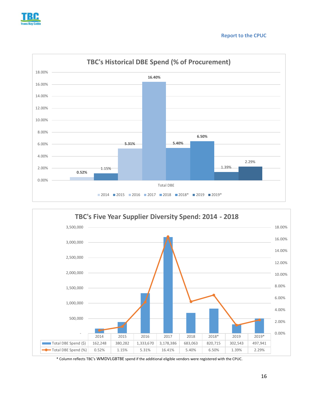





\* Column reflects TBC's WMDVLGBTBE spend if the additional eligible vendors were registered with the CPUC.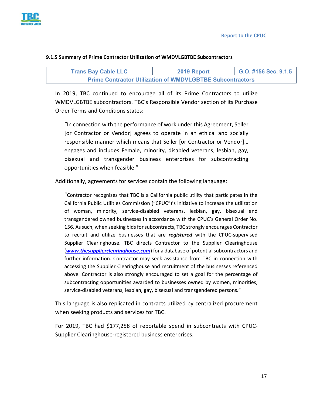**Report to the CPUC**



#### **9.1.5 Summary of Prime Contractor Utilization of WMDVLGBTBE Subcontractors**

| <b>Trans Bay Cable LLC</b>                                       | 2019 Report | G.O. #156 Sec. $9.1.5$ |  |  |  |  |  |
|------------------------------------------------------------------|-------------|------------------------|--|--|--|--|--|
| <b>Prime Contractor Utilization of WMDVLGBTBE Subcontractors</b> |             |                        |  |  |  |  |  |

In 2019, TBC continued to encourage all of its Prime Contractors to utilize WMDVLGBTBE subcontractors. TBC's Responsible Vendor section of its Purchase Order Terms and Conditions states:

"In connection with the performance of work under this Agreement, Seller [or Contractor or Vendor] agrees to operate in an ethical and socially responsible manner which means that Seller [or Contractor or Vendor]… engages and includes Female, minority, disabled veterans, lesbian, gay, bisexual and transgender business enterprises for subcontracting opportunities when feasible."

Additionally, agreements for services contain the following language:

"Contractor recognizes that TBC is a California public utility that participates in the California Public Utilities Commission ("CPUC")'s initiative to increase the utilization of woman, minority, service-disabled veterans, lesbian, gay, bisexual and transgendered owned businesses in accordance with the CPUC's General Order No. 156. As such, when seeking bids for subcontracts, TBC strongly encourages Contractor to recruit and utilize businesses that are *registered* with the CPUC-supervised Supplier Clearinghouse. TBC directs Contractor to the Supplier Clearinghouse (*www.thesupplierclearinghouse.com*) for a database of potential subcontractors and further information. Contractor may seek assistance from TBC in connection with accessing the Supplier Clearinghouse and recruitment of the businesses referenced above. Contractor is also strongly encouraged to set a goal for the percentage of subcontracting opportunities awarded to businesses owned by women, minorities, service-disabled veterans, lesbian, gay, bisexual and transgendered persons."

This language is also replicated in contracts utilized by centralized procurement when seeking products and services for TBC.

For 2019, TBC had \$177,258 of reportable spend in subcontracts with CPUC-Supplier Clearinghouse-registered business enterprises.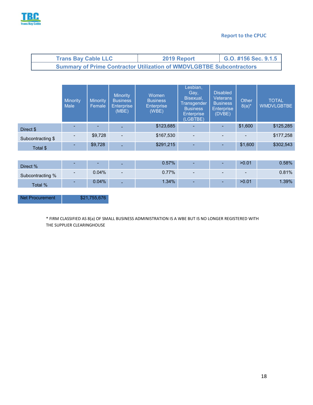

#### **Report to the CPUC**

| <b>Trans Bay Cable LLC</b>                                                  | 2019 Report | G.O. #156 Sec. 9.1.5 |  |  |  |  |  |
|-----------------------------------------------------------------------------|-------------|----------------------|--|--|--|--|--|
| <b>Summary of Prime Contractor Utilization of WMDVLGBTBE Subcontractors</b> |             |                      |  |  |  |  |  |

|                   | <b>Minority</b><br><b>Male</b> | <b>Minority</b><br>Female | <b>Minority</b><br><b>Business</b><br><b>Enterprise</b><br>(MBE) | Women<br><b>Business</b><br><b>Enterprise</b><br>(WBE) | Lesbian,<br>Gay,<br>'Bisexual,<br>Transgender<br><b>Business</b><br><b>Enterprise</b><br>(LGBTBE) | <b>Disabled</b><br><b>Veterans</b><br><b>Business</b><br><b>Enterprise</b><br>(DVBE) | Other<br>$8(a)^{*}$ | <b>TOTAL</b><br><b>WMDVLGBTBE</b> |
|-------------------|--------------------------------|---------------------------|------------------------------------------------------------------|--------------------------------------------------------|---------------------------------------------------------------------------------------------------|--------------------------------------------------------------------------------------|---------------------|-----------------------------------|
| Direct \$         | -                              |                           |                                                                  | \$123,685                                              | ٠                                                                                                 | $\overline{\phantom{a}}$                                                             | \$1,600             | \$125,285                         |
| Subcontracting \$ |                                | \$9,728                   | $\blacksquare$                                                   | \$167,530                                              | $\overline{\phantom{a}}$                                                                          | $\overline{\phantom{0}}$                                                             |                     | \$177,258                         |
| Total \$          | ٠                              | \$9,728                   |                                                                  | \$291,215                                              | ٠                                                                                                 |                                                                                      | \$1,600             | \$302,543                         |

| Direct %         | $\sim$                   | $\sim$   | ۰.     | $0.57\%$ | $\sim$                   |   | >0.01 | $0.58\%$ |
|------------------|--------------------------|----------|--------|----------|--------------------------|---|-------|----------|
| Subcontracting % | . .                      | 0.04%    | $\sim$ | $0.77\%$ | $\overline{\phantom{0}}$ | - | -     | 0.81%    |
| <b>Total %</b>   | $\overline{\phantom{a}}$ | $0.04\%$ | ۰.     | $1.34\%$ | ٠                        |   | >0.01 | 1.39%    |

Net Procurement \$21,755,676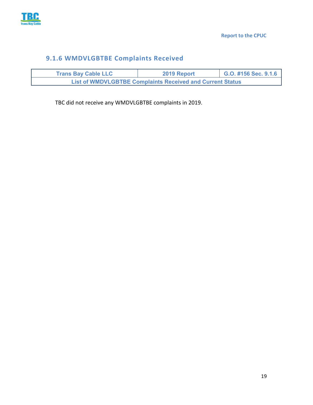

# <span id="page-19-0"></span>**9.1.6 WMDVLGBTBE Complaints Received**

| <b>Trans Bay Cable LLC</b>                                       | 2019 Report | G.O. #156 Sec. 9.1.6 |  |  |  |  |  |
|------------------------------------------------------------------|-------------|----------------------|--|--|--|--|--|
| <b>List of WMDVLGBTBE Complaints Received and Current Status</b> |             |                      |  |  |  |  |  |

TBC did not receive any WMDVLGBTBE complaints in 2019.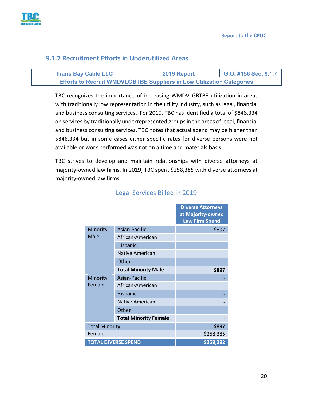

#### <span id="page-20-0"></span>**9.1.7 Recruitment Efforts in Underutilized Areas**

| <b>Trans Bay Cable LLC</b> | 2019 Report                                                                  | G.O. #156 Sec. 9.1.7 |
|----------------------------|------------------------------------------------------------------------------|----------------------|
|                            | <b>Efforts to Recruit WMDVLGBTBE Suppliers in Low Utilization Categories</b> |                      |

TBC recognizes the importance of increasing WMDVLGBTBE utilization in areas with traditionally low representation in the utility industry, such as legal, financial and business consulting services. For 2019, TBC has identified a total of \$846,334 on services by traditionally underrepresented groups in the areas of legal, financial and business consulting services. TBC notes that actual spend may be higher than \$846,334 but in some cases either specific rates for diverse persons were not available or work performed was not on a time and materials basis.

<span id="page-20-1"></span>TBC strives to develop and maintain relationships with diverse attorneys at majority-owned law firms. In 2019, TBC spent \$258,385 with diverse attorneys at majority-owned law firms.

|                            |                              | <b>Diverse Attorneys</b><br>at Majority-owned<br><b>Law Firm Spend</b> |
|----------------------------|------------------------------|------------------------------------------------------------------------|
| Minority                   | Asian-Pacific                | \$897                                                                  |
| Male                       | African-American             |                                                                        |
|                            | Hispanic                     |                                                                        |
|                            | Native American              |                                                                        |
|                            | Other                        |                                                                        |
|                            | <b>Total Minority Male</b>   | \$897                                                                  |
| Minority                   | Asian-Pacific                |                                                                        |
| Female                     | African-American             |                                                                        |
|                            | Hispanic                     |                                                                        |
|                            | <b>Native American</b>       |                                                                        |
|                            | Other                        |                                                                        |
|                            | <b>Total Minority Female</b> |                                                                        |
| <b>Total Minority</b>      |                              | \$897                                                                  |
| Female                     |                              | \$258,385                                                              |
| <b>TOTAL DIVERSE SPEND</b> |                              | \$259,282                                                              |

# Legal Services Billed in 2019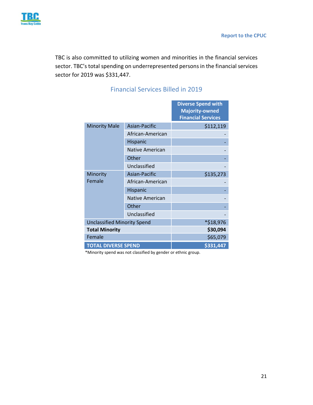

<span id="page-21-0"></span>TBC is also committed to utilizing women and minorities in the financial services sector. TBC's total spending on underrepresented persons in the financial services sector for 2019 was \$331,447.

|                                    |                        | <b>Diverse Spend with</b><br><b>Majority-owned</b><br><b>Financial Services</b> |
|------------------------------------|------------------------|---------------------------------------------------------------------------------|
| <b>Minority Male</b>               | Asian-Pacific          | \$112,119                                                                       |
|                                    | African-American       |                                                                                 |
|                                    | <b>Hispanic</b>        |                                                                                 |
|                                    | <b>Native American</b> |                                                                                 |
|                                    | Other                  |                                                                                 |
|                                    | Unclassified           |                                                                                 |
| Minority                           | Asian-Pacific          | \$135,273                                                                       |
| Female                             | African-American       |                                                                                 |
|                                    | <b>Hispanic</b>        |                                                                                 |
|                                    | <b>Native American</b> |                                                                                 |
|                                    | Other                  |                                                                                 |
|                                    | Unclassified           |                                                                                 |
| <b>Unclassified Minority Spend</b> |                        | *\$18,976                                                                       |
| <b>Total Minority</b>              |                        | \$30,094                                                                        |
| Female                             |                        | \$65,079                                                                        |
| <b>TOTAL DIVERSE SPEND</b>         |                        | \$331,447                                                                       |

# Financial Services Billed in 2019

\*Minority spend was not classified by gender or ethnic group.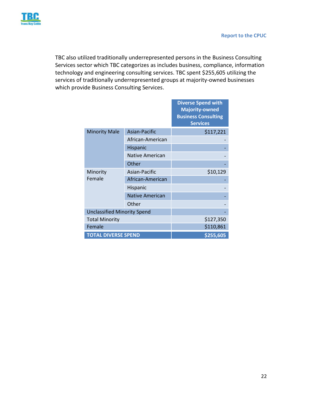

TBC also utilized traditionally underrepresented persons in the Business Consulting Services sector which TBC categorizes as includes business, compliance, information technology and engineering consulting services. TBC spent \$255,605 utilizing the services of traditionally underrepresented groups at majority-owned businesses which provide Business Consulting Services.

|                                    |                        | <b>Diverse Spend with</b><br><b>Majority-owned</b><br><b>Business Consulting</b><br><b>Services</b> |
|------------------------------------|------------------------|-----------------------------------------------------------------------------------------------------|
| <b>Minority Male</b>               | Asian-Pacific          | \$117,221                                                                                           |
|                                    | African-American       |                                                                                                     |
|                                    | Hispanic               |                                                                                                     |
|                                    | Native American        |                                                                                                     |
|                                    | Other                  |                                                                                                     |
| Minority                           | Asian-Pacific          | \$10,129                                                                                            |
| Female                             | African-American       |                                                                                                     |
|                                    | <b>Hispanic</b>        |                                                                                                     |
|                                    | <b>Native American</b> |                                                                                                     |
|                                    | Other                  |                                                                                                     |
| <b>Unclassified Minority Spend</b> |                        |                                                                                                     |
| <b>Total Minority</b>              |                        | \$127,350                                                                                           |
| Female                             |                        | \$110,861                                                                                           |
| <b>TOTAL DIVERSE SPEND</b>         |                        | \$255,605                                                                                           |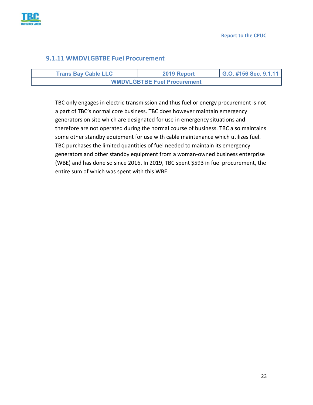

#### <span id="page-23-0"></span>**9.1.11 WMDVLGBTBE Fuel Procurement**

| <b>Trans Bay Cable LLC</b>         | 2019 Report | G.O. #156 Sec. 9.1.11 |
|------------------------------------|-------------|-----------------------|
| <b>WMDVLGBTBE Fuel Procurement</b> |             |                       |

TBC only engages in electric transmission and thus fuel or energy procurement is not a part of TBC's normal core business. TBC does however maintain emergency generators on site which are designated for use in emergency situations and therefore are not operated during the normal course of business. TBC also maintains some other standby equipment for use with cable maintenance which utilizes fuel. TBC purchases the limited quantities of fuel needed to maintain its emergency generators and other standby equipment from a woman-owned business enterprise (WBE) and has done so since 2016. In 2019, TBC spent \$593 in fuel procurement, the entire sum of which was spent with this WBE.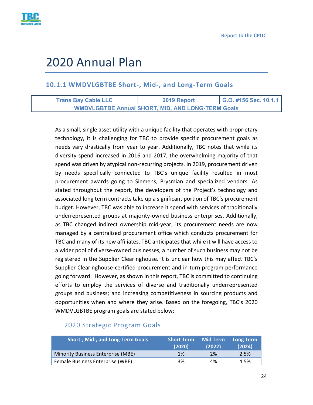

# <span id="page-24-0"></span>2020 Annual Plan

# <span id="page-24-1"></span>**10.1.1 WMDVLGBTBE Short-, Mid-, and Long-Term Goals**

| <b>Trans Bay Cable LLC</b> | 2019 Report                                              | G.O. #156 Sec. 10.1.1 |
|----------------------------|----------------------------------------------------------|-----------------------|
|                            | <b>WMDVLGBTBE Annual SHORT, MID, AND LONG-TERM Goals</b> |                       |

As a small, single asset utility with a unique facility that operates with proprietary technology, it is challenging for TBC to provide specific procurement goals as needs vary drastically from year to year. Additionally, TBC notes that while its diversity spend increased in 2016 and 2017, the overwhelming majority of that spend was driven by atypical non-recurring projects. In 2019, procurement driven by needs specifically connected to TBC's unique facility resulted in most procurement awards going to Siemens, Prysmian and specialized vendors. As stated throughout the report, the developers of the Project's technology and associated long term contracts take up a significant portion of TBC's procurement budget. However, TBC was able to increase it spend with services of traditionally underrepresented groups at majority-owned business enterprises. Additionally, as TBC changed indirect ownership mid-year, its procurement needs are now managed by a centralized procurement office which conducts procurement for TBC and many of its new affiliates. TBC anticipates that while it will have access to a wider pool of diverse-owned businesses, a number of such business may not be registered in the Supplier Clearinghouse. It is unclear how this may affect TBC's Supplier Clearinghouse-certified procurement and in turn program performance going forward. However, as shown in this report, TBC is committed to continuing efforts to employ the services of diverse and traditionally underrepresented groups and business; and increasing competitiveness in sourcing products and opportunities when and where they arise. Based on the foregoing, TBC's 2020 WMDVLGBTBE program goals are stated below:

#### <span id="page-24-2"></span>2020 Strategic Program Goals

| <b>Short-, Mid-, and Long-Term Goals</b> | <b>Short Term</b><br>(2020) | <b>Mid Term</b><br>(2022) | <b>Long Term</b><br>(2024) |
|------------------------------------------|-----------------------------|---------------------------|----------------------------|
| Minority Business Enterprise (MBE)       | 1%                          | 2%                        | 2.5%                       |
| Female Business Enterprise (WBE)         | 3%                          | 4%                        | 4.5%                       |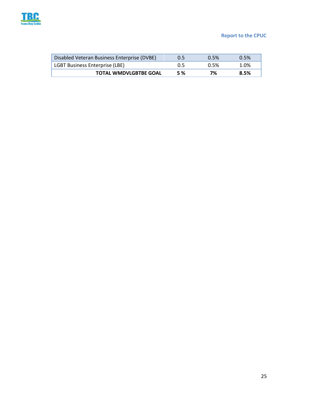

#### **Report to the CPUC**

| Disabled Veteran Business Enterprise (DVBE) |            | 0.5% | 0.5% |
|---------------------------------------------|------------|------|------|
| LGBT Business Enterprise (LBE)              | 0.5        | 0.5% | 1.0% |
| <b>TOTAL WMDVLGBTBE GOAL</b>                | <b>5 %</b> | 7%   | 8.5% |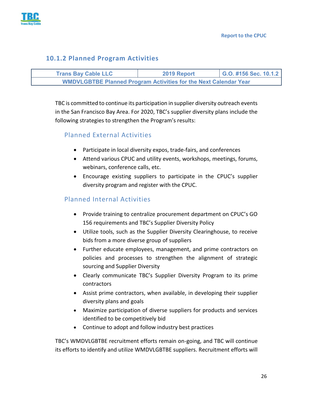

#### <span id="page-26-0"></span>**10.1.2 Planned Program Activities**

| <b>Trans Bay Cable LLC</b>                                              | 2019 Report | G.O. #156 Sec. 10.1.2 |
|-------------------------------------------------------------------------|-------------|-----------------------|
| <b>WMDVLGBTBE Planned Program Activities for the Next Calendar Year</b> |             |                       |

TBC is committed to continue its participation in supplier diversity outreach events in the San Francisco Bay Area. For 2020, TBC's supplier diversity plans include the following strategies to strengthen the Program's results:

# <span id="page-26-1"></span>Planned External Activities

- Participate in local diversity expos, trade-fairs, and conferences
- Attend various CPUC and utility events, workshops, meetings, forums, webinars, conference calls, etc.
- Encourage existing suppliers to participate in the CPUC's supplier diversity program and register with the CPUC.

# <span id="page-26-2"></span>Planned Internal Activities

- Provide training to centralize procurement department on CPUC's GO 156 requirements and TBC's Supplier Diversity Policy
- Utilize tools, such as the Supplier Diversity Clearinghouse, to receive bids from a more diverse group of suppliers
- Further educate employees, management, and prime contractors on policies and processes to strengthen the alignment of strategic sourcing and Supplier Diversity
- Clearly communicate TBC's Supplier Diversity Program to its prime contractors
- Assist prime contractors, when available, in developing their supplier diversity plans and goals
- Maximize participation of diverse suppliers for products and services identified to be competitively bid
- Continue to adopt and follow industry best practices

TBC's WMDVLGBTBE recruitment efforts remain on-going, and TBC will continue its efforts to identify and utilize WMDVLGBTBE suppliers. Recruitment efforts will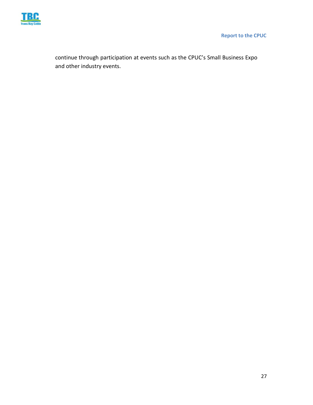

 **Report to the CPUC**

continue through participation at events such as the CPUC's Small Business Expo and other industry events.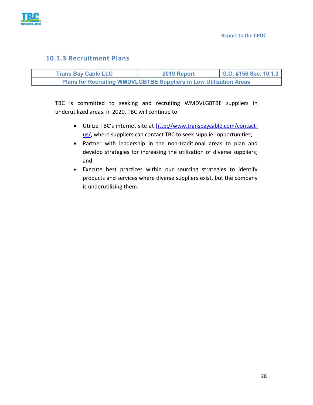

#### <span id="page-28-0"></span>**10.1.3 Recruitment Plans**

| <b>Trans Bay Cable LLC</b>                                                | 2019 Report | G.O. #156 Sec. 10.1.3 |
|---------------------------------------------------------------------------|-------------|-----------------------|
| <b>Plans for Recruiting WMDVLGBTBE Suppliers in Low Utilization Areas</b> |             |                       |

TBC is committed to seeking and recruiting WMDVLGBTBE suppliers in underutilized areas. In 2020, TBC will continue to:

- Utilize TBC's internet site at [http://www.transbaycable.com/contact](http://www.transbaycable.com/contact-us/)[us/,](http://www.transbaycable.com/contact-us/) where suppliers can contact TBC to seek supplier opportunities;
- Partner with leadership in the non-traditional areas to plan and develop strategies for increasing the utilization of diverse suppliers; and
- Execute best practices within our sourcing strategies to identify products and services where diverse suppliers exist, but the company is underutilizing them.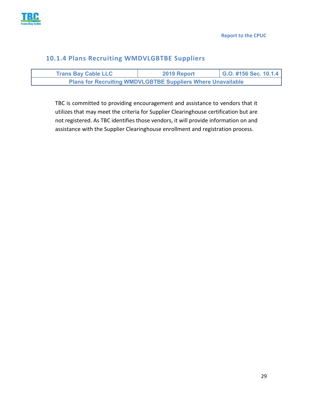

## <span id="page-29-0"></span>**10.1.4 Plans Recruiting WMDVLGBTBE Suppliers**

| <b>Trans Bay Cable LLC</b>                                         | 2019 Report | $\vert$ G.O. #156 Sec. 10.1.4 |
|--------------------------------------------------------------------|-------------|-------------------------------|
| <b>Plans for Recruiting WMDVLGBTBE Suppliers Where Unavailable</b> |             |                               |

TBC is committed to providing encouragement and assistance to vendors that it utilizes that may meet the criteria for Supplier Clearinghouse certification but are not registered. As TBC identifies those vendors, it will provide information on and assistance with the Supplier Clearinghouse enrollment and registration process.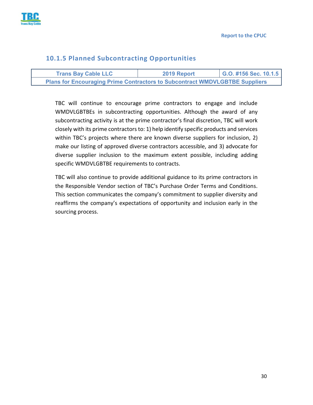

## <span id="page-30-0"></span>**10.1.5 Planned Subcontracting Opportunities**

| <b>Trans Bay Cable LLC</b>                                                         | 2019 Report | G.O. #156 Sec. 10.1.5 |
|------------------------------------------------------------------------------------|-------------|-----------------------|
| <b>Plans for Encouraging Prime Contractors to Subcontract WMDVLGBTBE Suppliers</b> |             |                       |

TBC will continue to encourage prime contractors to engage and include WMDVLGBTBEs in subcontracting opportunities. Although the award of any subcontracting activity is at the prime contractor's final discretion, TBC will work closely with its prime contractors to: 1) help identify specific products and services within TBC's projects where there are known diverse suppliers for inclusion, 2) make our listing of approved diverse contractors accessible, and 3) advocate for diverse supplier inclusion to the maximum extent possible, including adding specific WMDVLGBTBE requirements to contracts.

TBC will also continue to provide additional guidance to its prime contractors in the Responsible Vendor section of TBC's Purchase Order Terms and Conditions. This section communicates the company's commitment to supplier diversity and reaffirms the company's expectations of opportunity and inclusion early in the sourcing process.